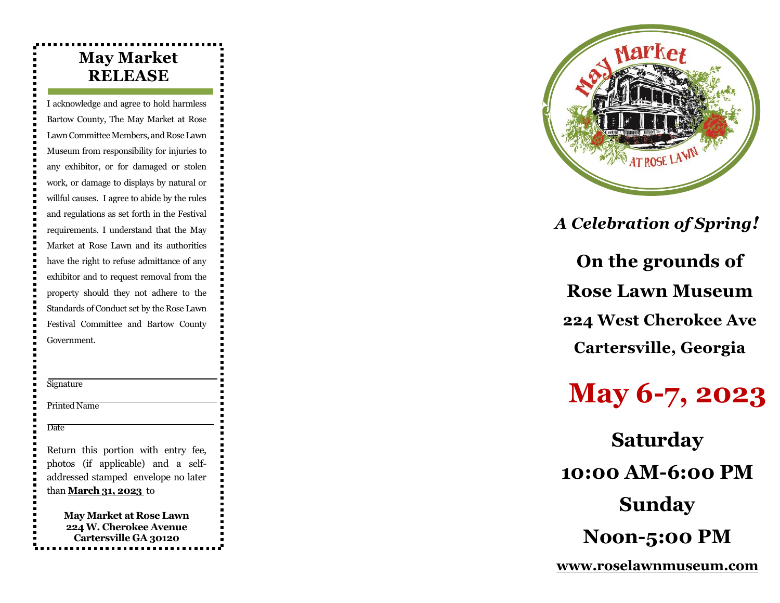# **May Market RELEASE**

I acknowledge and agree to hold harmless Bartow County, The May Market at Rose Lawn Committee Members, and Rose Lawn Museum from responsibility for injuries to any exhibitor, or for damaged or stolen work, or damage to displays by natural or willful causes. I agree to abide by the rules and regulations as set forth in the Festival requirements. I understand that the May Market at Rose Lawn and its authorities have the right to refuse admittance of any exhibitor and to request removal from the property should they not adhere to the Standards of Conduct set by the Rose Lawn Festival Committee and Bartow County Government.

**Signature** 

Printed Name

Date

Return this portion with entry fee, photos (if applicable) and a selfaddressed stamped envelope no later than **March 31, 202 3** to

> **May Market at Rose Lawn 224 W. Cherokee Avenue Cartersville GA 30120**



**Rose Lawn Museum 224 West Cherokee Ave Cartersville, Georgia** *A Celebration of Spring!* 

# **May 6 - 7, 202 3**

**Saturday 10:00 AM -6:00 PM Sunday Noon -5:00 PM On the grounds of<br>Rose Lawn Museum<br>224 West Cherokee Ave<br>Cartersville, Georgia<br><b>May 6-7, 2023**<br>Saturday<br>10:00 AM-6:00 PM<br>Sunday<br>Noon-5:00 PM<br>www.roselawnmuseum.com